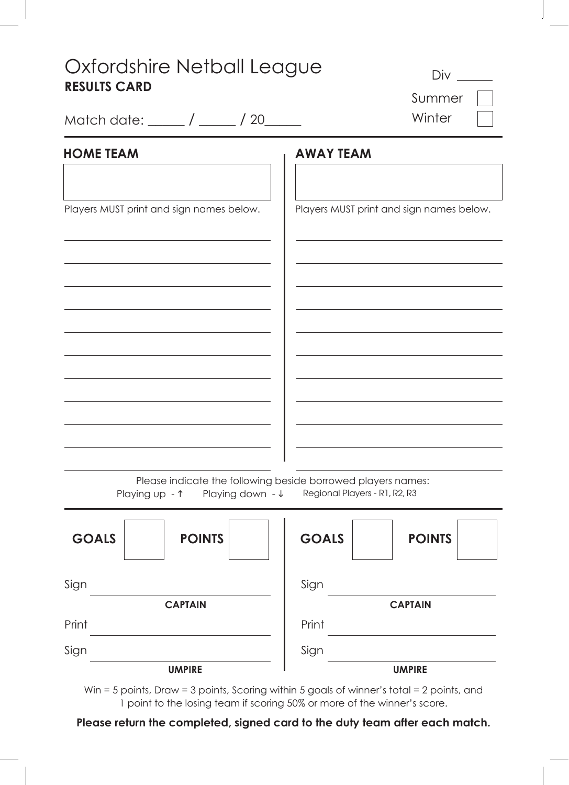| Oxfordshire Netball League<br><b>RESULTS CARD</b>                                                            | Summer                                   |
|--------------------------------------------------------------------------------------------------------------|------------------------------------------|
| Match date: _____ / _____ / 20_____                                                                          | Winter                                   |
| <b>HOME TEAM</b>                                                                                             | <b>AWAY TEAM</b>                         |
| Players MUST print and sign names below.                                                                     | Players MUST print and sign names below. |
|                                                                                                              |                                          |
|                                                                                                              |                                          |
|                                                                                                              |                                          |
|                                                                                                              |                                          |
|                                                                                                              |                                          |
|                                                                                                              |                                          |
|                                                                                                              |                                          |
| Please indicate the following beside borrowed players names:<br>Playing up - 1<br>Playing down $ \downarrow$ | Regional Players - R1, R2, R3            |
| <b>GOALS</b><br><b>POINTS</b>                                                                                | <b>GOALS</b><br><b>POINTS</b>            |
| Sign                                                                                                         | Sign                                     |
| <b>CAPTAIN</b><br>Print                                                                                      | <b>CAPTAIN</b><br>Print                  |
| Sign                                                                                                         | Sign                                     |
| <b>UMPIRE</b>                                                                                                | <b>UMPIRE</b>                            |

Win = 5 points, Draw = 3 points, Scoring within 5 goals of winner's total = 2 points, and 1 point to the losing team if scoring 50% or more of the winner's score.

**please return the completed, signed card to the duty team after each match.**